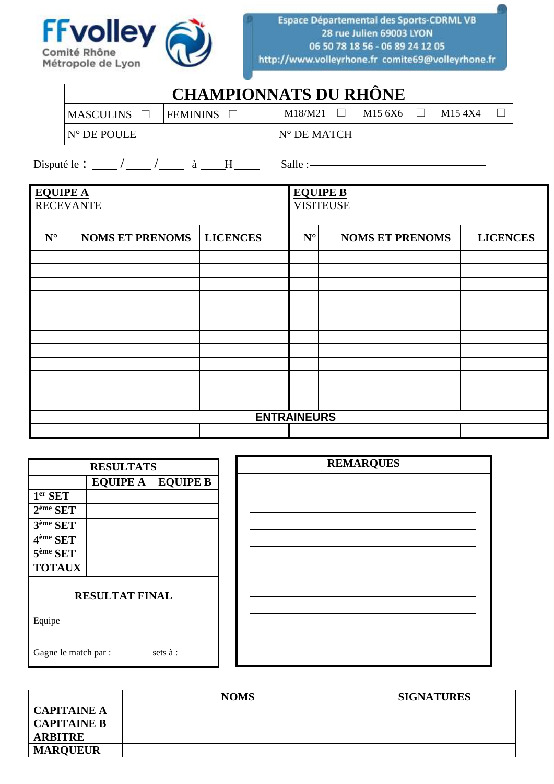

| <b>CHAMPIONNATS DU RHONE</b> |                 |         |         |  |                     |  |  |  |  |  |
|------------------------------|-----------------|---------|---------|--|---------------------|--|--|--|--|--|
| <b>MASCULINS</b>             | <b>FEMININS</b> | M18/M21 | M15 6X6 |  | M <sub>15</sub> 4X4 |  |  |  |  |  |
| $N^{\circ}$ DE POULE         | N° DE MATCH     |         |         |  |                     |  |  |  |  |  |

| <b>EQUIPE A</b><br><b>RECEVANTE</b> |                        |                    | <b>EQUIPE B</b><br><b>VISITEUSE</b> |                        |                 |  |  |  |  |  |
|-------------------------------------|------------------------|--------------------|-------------------------------------|------------------------|-----------------|--|--|--|--|--|
|                                     |                        |                    |                                     |                        |                 |  |  |  |  |  |
| $\mathbf{N}^{\circ}$                | <b>NOMS ET PRENOMS</b> | <b>LICENCES</b>    | $\mathbf{N}^{\circ}$                | <b>NOMS ET PRENOMS</b> | <b>LICENCES</b> |  |  |  |  |  |
|                                     |                        |                    |                                     |                        |                 |  |  |  |  |  |
|                                     |                        |                    |                                     |                        |                 |  |  |  |  |  |
|                                     |                        |                    |                                     |                        |                 |  |  |  |  |  |
|                                     |                        |                    |                                     |                        |                 |  |  |  |  |  |
|                                     |                        |                    |                                     |                        |                 |  |  |  |  |  |
|                                     |                        |                    |                                     |                        |                 |  |  |  |  |  |
|                                     |                        |                    |                                     |                        |                 |  |  |  |  |  |
|                                     |                        |                    |                                     |                        |                 |  |  |  |  |  |
|                                     |                        |                    |                                     |                        |                 |  |  |  |  |  |
|                                     |                        |                    |                                     |                        |                 |  |  |  |  |  |
|                                     |                        |                    |                                     |                        |                 |  |  |  |  |  |
|                                     |                        |                    |                                     |                        |                 |  |  |  |  |  |
|                                     |                        | <b>ENTRAINEURS</b> |                                     |                        |                 |  |  |  |  |  |
|                                     |                        |                    |                                     |                        |                 |  |  |  |  |  |

| <b>RESULTATS</b>     |                       |                 |
|----------------------|-----------------------|-----------------|
|                      | <b>EQUIPE A</b>       | <b>EQUIPE B</b> |
| 1 <sup>er</sup> SET  |                       |                 |
| 2 <sup>ème</sup> SET |                       |                 |
| 3 <sup>ème</sup> SET |                       |                 |
| 4 <sup>ème</sup> SET |                       |                 |
| 5 <sup>ème</sup> SET |                       |                 |
| <b>TOTAUX</b>        |                       |                 |
|                      | <b>RESULTAT FINAL</b> |                 |
| Equipe               |                       |                 |
| Gagne le match par : |                       | sets à :        |

|                    | <b>NOMS</b> | <b>SIGNATURES</b> |
|--------------------|-------------|-------------------|
| <b>CAPITAINE A</b> |             |                   |
| <b>CAPITAINE B</b> |             |                   |
| <b>ARBITRE</b>     |             |                   |
| <b>MARQUEUR</b>    |             |                   |